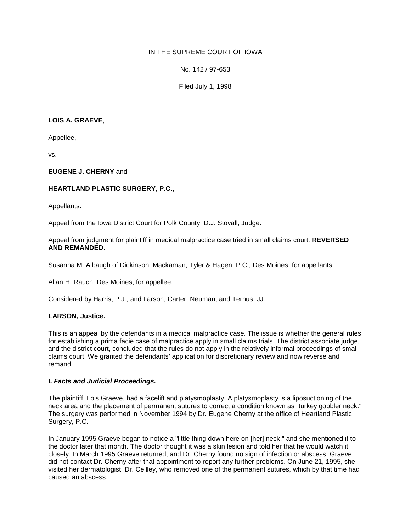# IN THE SUPREME COURT OF IOWA

No. 142 / 97-653

Filed July 1, 1998

## **LOIS A. GRAEVE**,

Appellee,

vs.

## **EUGENE J. CHERNY** and

# **HEARTLAND PLASTIC SURGERY, P.C.**,

Appellants.

Appeal from the Iowa District Court for Polk County, D.J. Stovall, Judge.

Appeal from judgment for plaintiff in medical malpractice case tried in small claims court. **REVERSED AND REMANDED.**

Susanna M. Albaugh of Dickinson, Mackaman, Tyler & Hagen, P.C., Des Moines, for appellants.

Allan H. Rauch, Des Moines, for appellee.

Considered by Harris, P.J., and Larson, Carter, Neuman, and Ternus, JJ.

### **LARSON, Justice.**

This is an appeal by the defendants in a medical malpractice case. The issue is whether the general rules for establishing a prima facie case of malpractice apply in small claims trials. The district associate judge, and the district court, concluded that the rules do not apply in the relatively informal proceedings of small claims court. We granted the defendants' application for discretionary review and now reverse and remand.

### **I.** *Facts and Judicial Proceedings.*

The plaintiff, Lois Graeve, had a facelift and platysmoplasty. A platysmoplasty is a liposuctioning of the neck area and the placement of permanent sutures to correct a condition known as "turkey gobbler neck." The surgery was performed in November 1994 by Dr. Eugene Cherny at the office of Heartland Plastic Surgery, P.C.

In January 1995 Graeve began to notice a "little thing down here on [her] neck," and she mentioned it to the doctor later that month. The doctor thought it was a skin lesion and told her that he would watch it closely. In March 1995 Graeve returned, and Dr. Cherny found no sign of infection or abscess. Graeve did not contact Dr. Cherny after that appointment to report any further problems. On June 21, 1995, she visited her dermatologist, Dr. Ceilley, who removed one of the permanent sutures, which by that time had caused an abscess.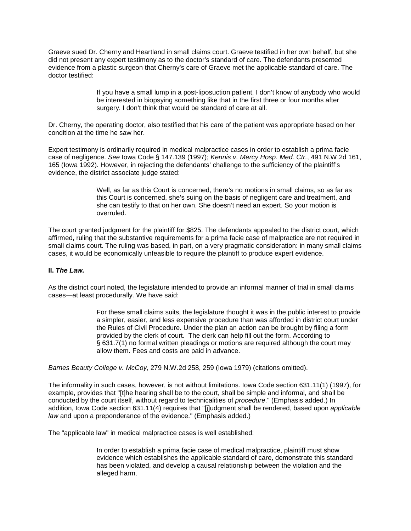Graeve sued Dr. Cherny and Heartland in small claims court. Graeve testified in her own behalf, but she did not present any expert testimony as to the doctor's standard of care. The defendants presented evidence from a plastic surgeon that Cherny's care of Graeve met the applicable standard of care. The doctor testified:

> If you have a small lump in a post-liposuction patient, I don't know of anybody who would be interested in biopsying something like that in the first three or four months after surgery. I don't think that would be standard of care at all.

Dr. Cherny, the operating doctor, also testified that his care of the patient was appropriate based on her condition at the time he saw her.

Expert testimony is ordinarily required in medical malpractice cases in order to establish a prima facie case of negligence. *See* Iowa Code § 147.139 (1997); *Kennis v. Mercy Hosp. Med. Ctr.*, 491 N.W.2d 161, 165 (Iowa 1992). However, in rejecting the defendants' challenge to the sufficiency of the plaintiff's evidence, the district associate judge stated:

> Well, as far as this Court is concerned, there's no motions in small claims, so as far as this Court is concerned, she's suing on the basis of negligent care and treatment, and she can testify to that on her own. She doesn't need an expert. So your motion is overruled.

The court granted judgment for the plaintiff for \$825. The defendants appealed to the district court, which affirmed, ruling that the substantive requirements for a prima facie case of malpractice are not required in small claims court. The ruling was based, in part, on a very pragmatic consideration: in many small claims cases, it would be economically unfeasible to require the plaintiff to produce expert evidence.

### **II.** *The Law.*

As the district court noted, the legislature intended to provide an informal manner of trial in small claims cases—at least procedurally. We have said:

> For these small claims suits, the legislature thought it was in the public interest to provide a simpler, easier, and less expensive procedure than was afforded in district court under the Rules of Civil Procedure. Under the plan an action can be brought by filing a form provided by the clerk of court. The clerk can help fill out the form. According to § 631.7(1) no formal written pleadings or motions are required although the court may allow them. Fees and costs are paid in advance.

*Barnes Beauty College v. McCoy*, 279 N.W.2d 258, 259 (Iowa 1979) (citations omitted).

The informality in such cases, however, is not without limitations. Iowa Code section 631.11(1) (1997), for example, provides that "[t]he hearing shall be to the court, shall be simple and informal, and shall be conducted by the court itself, without regard to technicalities of *procedure*." (Emphasis added.) In addition, Iowa Code section 631.11(4) requires that "[j]udgment shall be rendered, based upon *applicable law* and upon a preponderance of the evidence." (Emphasis added.)

The "applicable law" in medical malpractice cases is well established:

In order to establish a prima facie case of medical malpractice, plaintiff must show evidence which establishes the applicable standard of care, demonstrate this standard has been violated, and develop a causal relationship between the violation and the alleged harm.